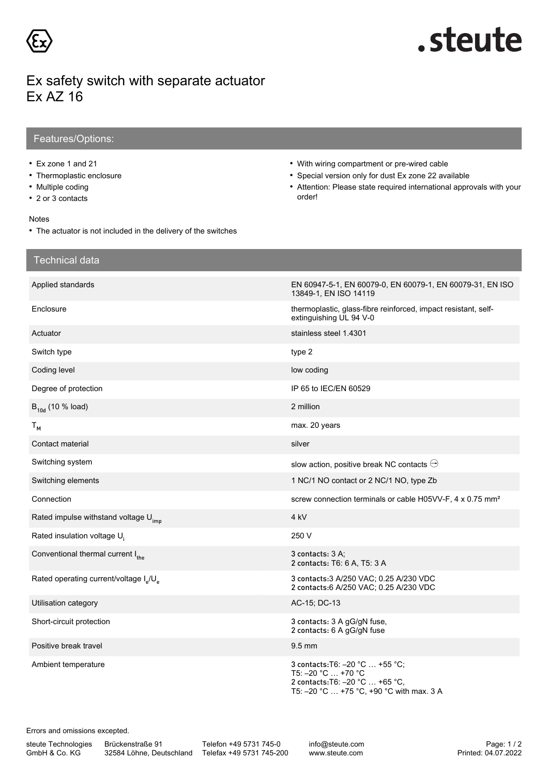

# .steute

## Ex safety switch with separate actuator Ex AZ 16

### Features/Options:

- Ex zone 1 and 21
- Thermoplastic enclosure
- Multiple coding
- 2 or 3 contacts

#### Notes

- The actuator is not included in the delivery of the switches
- With wiring compartment or pre-wired cable
- Special version only for dust Ex zone 22 available
- Attention: Please state required international approvals with your order!

| <b>Technical data</b>                                          |                                                                                                                                      |
|----------------------------------------------------------------|--------------------------------------------------------------------------------------------------------------------------------------|
| Applied standards                                              | EN 60947-5-1, EN 60079-0, EN 60079-1, EN 60079-31, EN ISO<br>13849-1, EN ISO 14119                                                   |
| Enclosure                                                      | thermoplastic, glass-fibre reinforced, impact resistant, self-<br>extinguishing UL 94 V-0                                            |
| Actuator                                                       | stainless steel 1.4301                                                                                                               |
| Switch type                                                    | type 2                                                                                                                               |
| Coding level                                                   | low coding                                                                                                                           |
| Degree of protection                                           | IP 65 to IEC/EN 60529                                                                                                                |
| $B_{10d}$ (10 % load)                                          | 2 million                                                                                                                            |
| $T_{M}$                                                        | max. 20 years                                                                                                                        |
| Contact material                                               | silver                                                                                                                               |
| Switching system                                               | slow action, positive break NC contacts $\ominus$                                                                                    |
| Switching elements                                             | 1 NC/1 NO contact or 2 NC/1 NO, type Zb                                                                                              |
| Connection                                                     | screw connection terminals or cable H05VV-F, 4 x 0.75 mm <sup>2</sup>                                                                |
| Rated impulse withstand voltage U <sub>imp</sub>               | 4 kV                                                                                                                                 |
| Rated insulation voltage U <sub>i</sub>                        | 250 V                                                                                                                                |
| Conventional thermal current I <sub>the</sub>                  | 3 contacts: 3 A:<br>2 contacts: T6: 6 A, T5: 3 A                                                                                     |
| Rated operating current/voltage I <sub>a</sub> /U <sub>a</sub> | 3 contacts: 3 A/250 VAC; 0.25 A/230 VDC<br>2 contacts:6 A/250 VAC; 0.25 A/230 VDC                                                    |
| Utilisation category                                           | AC-15; DC-13                                                                                                                         |
| Short-circuit protection                                       | 3 contacts: 3 A gG/gN fuse,<br>2 contacts: 6 A gG/gN fuse                                                                            |
| Positive break travel                                          | $9.5$ mm                                                                                                                             |
| Ambient temperature                                            | 3 contacts: T6: -20 °C  +55 °C;<br>T5: -20 °C  +70 °C<br>2 contacts: T6: -20 °C  +65 °C,<br>T5: -20 °C  +75 °C, +90 °C with max. 3 A |

Errors and omissions excepted.

steute Technologies GmbH & Co. KG

Brückenstraße 91

32584 Löhne, Deutschland Telefax +49 5731 745-200 Telefon +49 5731 745-0